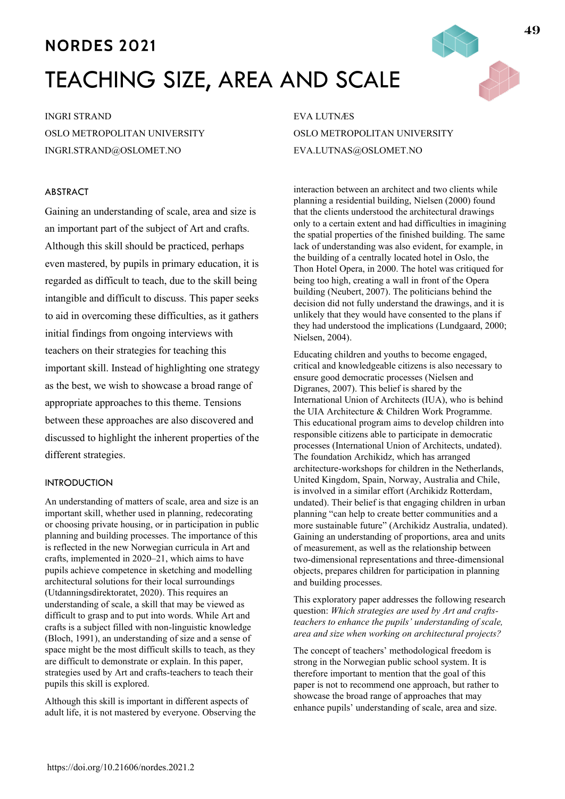# **NORDES 2021** TEACHING SIZE, AREA AND SCALE

INGRI STRAND OSLO METROPOLITAN UNIVERSITY INGRI.STRAND@OSLOMET.NO

# ABSTRACT

Gaining an understanding of scale, area and size is an important part of the subject of Art and crafts. Although this skill should be practiced, perhaps even mastered, by pupils in primary education, it is regarded as difficult to teach, due to the skill being intangible and difficult to discuss. This paper seeks to aid in overcoming these difficulties, as it gathers initial findings from ongoing interviews with teachers on their strategies for teaching this important skill. Instead of highlighting one strategy as the best, we wish to showcase a broad range of appropriate approaches to this theme. Tensions between these approaches are also discovered and discussed to highlight the inherent properties of the different strategies.

# INTRODUCTION

An understanding of matters of scale, area and size is an important skill, whether used in planning, redecorating or choosing private housing, or in participation in public planning and building processes. The importance of this is reflected in the new Norwegian curricula in Art and crafts, implemented in 2020–21, which aims to have pupils achieve competence in sketching and modelling architectural solutions for their local surroundings (Utdanningsdirektoratet, 2020). This requires an understanding of scale, a skill that may be viewed as difficult to grasp and to put into words. While Art and crafts is a subject filled with non-linguistic knowledge (Bloch, 1991), an understanding of size and a sense of space might be the most difficult skills to teach, as they are difficult to demonstrate or explain. In this paper, strategies used by Art and crafts-teachers to teach their pupils this skill is explored.

Although this skill is important in different aspects of adult life, it is not mastered by everyone. Observing the

EVA LUTNÆS OSLO METROPOLITAN UNIVERSITY EVA.LUTNAS@OSLOMET.NO

interaction between an architect and two clients while planning a residential building, Nielsen (2000) found that the clients understood the architectural drawings only to a certain extent and had difficulties in imagining the spatial properties of the finished building. The same lack of understanding was also evident, for example, in the building of a centrally located hotel in Oslo, the Thon Hotel Opera, in 2000. The hotel was critiqued for being too high, creating a wall in front of the Opera building (Neubert, 2007). The politicians behind the decision did not fully understand the drawings, and it is unlikely that they would have consented to the plans if they had understood the implications (Lundgaard, 2000; Nielsen, 2004).

Educating children and youths to become engaged, critical and knowledgeable citizens is also necessary to ensure good democratic processes (Nielsen and Digranes, 2007). This belief is shared by the International Union of Architects (IUA), who is behind the UIA Architecture & Children Work Programme. This educational program aims to develop children into responsible citizens able to participate in democratic processes (International Union of Architects, undated). The foundation Archikidz, which has arranged architecture-workshops for children in the Netherlands, United Kingdom, Spain, Norway, Australia and Chile, is involved in a similar effort (Archikidz Rotterdam, undated). Their belief is that engaging children in urban planning "can help to create better communities and a more sustainable future" (Archikidz Australia, undated). Gaining an understanding of proportions, area and units of measurement, as well as the relationship between two-dimensional representations and three-dimensional objects, prepares children for participation in planning and building processes.

This exploratory paper addresses the following research question: *Which strategies are used by Art and craftsteachers to enhance the pupils' understanding of scale, area and size when working on architectural projects?*

The concept of teachers' methodological freedom is strong in the Norwegian public school system. It is therefore important to mention that the goal of this paper is not to recommend one approach, but rather to showcase the broad range of approaches that may enhance pupils' understanding of scale, area and size.

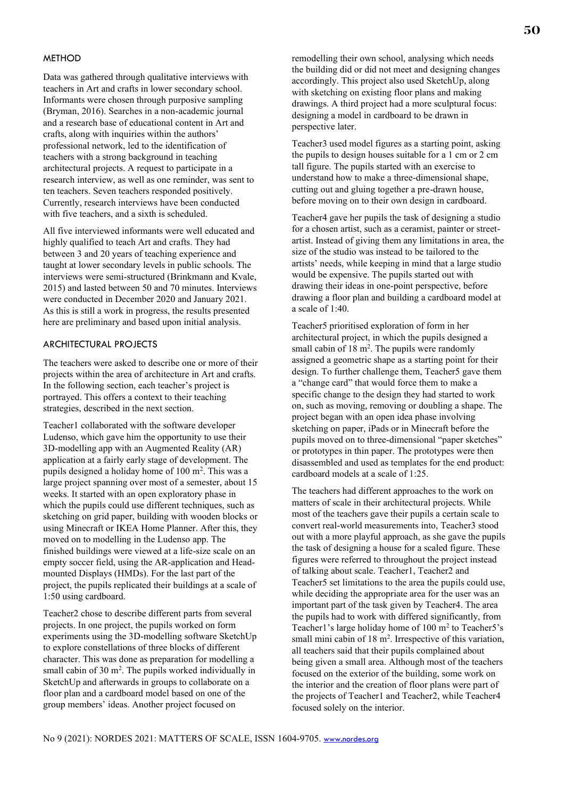#### **METHOD**

Data was gathered through qualitative interviews with teachers in Art and crafts in lower secondary school. Informants were chosen through purposive sampling (Bryman, 2016). Searches in a non-academic journal and a research base of educational content in Art and crafts, along with inquiries within the authors' professional network, led to the identification of teachers with a strong background in teaching architectural projects. A request to participate in a research interview, as well as one reminder, was sent to ten teachers. Seven teachers responded positively. Currently, research interviews have been conducted with five teachers, and a sixth is scheduled.

All five interviewed informants were well educated and highly qualified to teach Art and crafts. They had between 3 and 20 years of teaching experience and taught at lower secondary levels in public schools. The interviews were semi-structured (Brinkmann and Kvale, 2015) and lasted between 50 and 70 minutes. Interviews were conducted in December 2020 and January 2021. As this is still a work in progress, the results presented here are preliminary and based upon initial analysis.

# ARCHITECTURAL PROJECTS

The teachers were asked to describe one or more of their projects within the area of architecture in Art and crafts. In the following section, each teacher's project is portrayed. This offers a context to their teaching strategies, described in the next section.

Teacher1 collaborated with the software developer Ludenso, which gave him the opportunity to use their 3D-modelling app with an Augmented Reality (AR) application at a fairly early stage of development. The pupils designed a holiday home of 100 m<sup>2</sup>. This was a large project spanning over most of a semester, about 15 weeks. It started with an open exploratory phase in which the pupils could use different techniques, such as sketching on grid paper, building with wooden blocks or using Minecraft or IKEA Home Planner. After this, they moved on to modelling in the Ludenso app. The finished buildings were viewed at a life-size scale on an empty soccer field, using the AR-application and Headmounted Displays (HMDs). For the last part of the project, the pupils replicated their buildings at a scale of 1:50 using cardboard.

Teacher2 chose to describe different parts from several projects. In one project, the pupils worked on form experiments using the 3D-modelling software SketchUp to explore constellations of three blocks of different character. This was done as preparation for modelling a small cabin of  $30 \text{ m}^2$ . The pupils worked individually in SketchUp and afterwards in groups to collaborate on a floor plan and a cardboard model based on one of the group members' ideas. Another project focused on

remodelling their own school, analysing which needs the building did or did not meet and designing changes accordingly. This project also used SketchUp, along with sketching on existing floor plans and making drawings. A third project had a more sculptural focus: designing a model in cardboard to be drawn in perspective later.

Teacher3 used model figures as a starting point, asking the pupils to design houses suitable for a 1 cm or 2 cm tall figure. The pupils started with an exercise to understand how to make a three-dimensional shape, cutting out and gluing together a pre-drawn house, before moving on to their own design in cardboard.

Teacher4 gave her pupils the task of designing a studio for a chosen artist, such as a ceramist, painter or streetartist. Instead of giving them any limitations in area, the size of the studio was instead to be tailored to the artists' needs, while keeping in mind that a large studio would be expensive. The pupils started out with drawing their ideas in one-point perspective, before drawing a floor plan and building a cardboard model at a scale of 1:40.

Teacher5 prioritised exploration of form in her architectural project, in which the pupils designed a small cabin of  $18 \text{ m}^2$ . The pupils were randomly assigned a geometric shape as a starting point for their design. To further challenge them, Teacher5 gave them a "change card" that would force them to make a specific change to the design they had started to work on, such as moving, removing or doubling a shape. The project began with an open idea phase involving sketching on paper, iPads or in Minecraft before the pupils moved on to three-dimensional "paper sketches" or prototypes in thin paper. The prototypes were then disassembled and used as templates for the end product: cardboard models at a scale of 1:25.

The teachers had different approaches to the work on matters of scale in their architectural projects. While most of the teachers gave their pupils a certain scale to convert real-world measurements into, Teacher3 stood out with a more playful approach, as she gave the pupils the task of designing a house for a scaled figure. These figures were referred to throughout the project instead of talking about scale. Teacher1, Teacher2 and Teacher5 set limitations to the area the pupils could use, while deciding the appropriate area for the user was an important part of the task given by Teacher4. The area the pupils had to work with differed significantly, from Teacher1's large holiday home of 100 m<sup>2</sup> to Teacher5's small mini cabin of 18 m<sup>2</sup>. Irrespective of this variation, all teachers said that their pupils complained about being given a small area. Although most of the teachers focused on the exterior of the building, some work on the interior and the creation of floor plans were part of the projects of Teacher1 and Teacher2, while Teacher4 focused solely on the interior.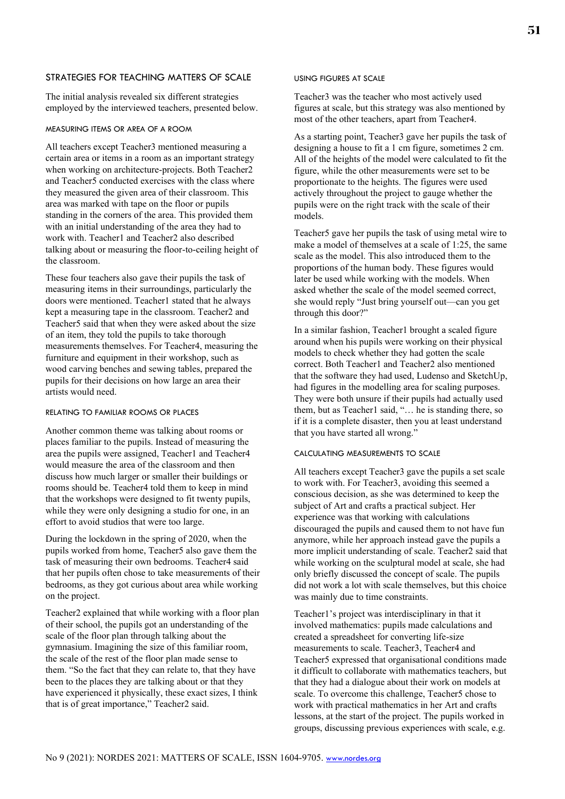# STRATEGIES FOR TEACHING MATTERS OF SCALE

The initial analysis revealed six different strategies employed by the interviewed teachers, presented below.

#### MEASURING ITEMS OR AREA OF A ROOM

All teachers except Teacher3 mentioned measuring a certain area or items in a room as an important strategy when working on architecture-projects. Both Teacher2 and Teacher5 conducted exercises with the class where they measured the given area of their classroom. This area was marked with tape on the floor or pupils standing in the corners of the area. This provided them with an initial understanding of the area they had to work with. Teacher1 and Teacher2 also described talking about or measuring the floor-to-ceiling height of the classroom.

These four teachers also gave their pupils the task of measuring items in their surroundings, particularly the doors were mentioned. Teacher1 stated that he always kept a measuring tape in the classroom. Teacher2 and Teacher5 said that when they were asked about the size of an item, they told the pupils to take thorough measurements themselves. For Teacher4, measuring the furniture and equipment in their workshop, such as wood carving benches and sewing tables, prepared the pupils for their decisions on how large an area their artists would need.

#### RELATING TO FAMILIAR ROOMS OR PLACES

Another common theme was talking about rooms or places familiar to the pupils. Instead of measuring the area the pupils were assigned, Teacher1 and Teacher4 would measure the area of the classroom and then discuss how much larger or smaller their buildings or rooms should be. Teacher4 told them to keep in mind that the workshops were designed to fit twenty pupils, while they were only designing a studio for one, in an effort to avoid studios that were too large.

During the lockdown in the spring of 2020, when the pupils worked from home, Teacher5 also gave them the task of measuring their own bedrooms. Teacher4 said that her pupils often chose to take measurements of their bedrooms, as they got curious about area while working on the project.

Teacher2 explained that while working with a floor plan of their school, the pupils got an understanding of the scale of the floor plan through talking about the gymnasium. Imagining the size of this familiar room, the scale of the rest of the floor plan made sense to them. "So the fact that they can relate to, that they have been to the places they are talking about or that they have experienced it physically, these exact sizes, I think that is of great importance," Teacher2 said.

## USING FIGURES AT SCALE

Teacher3 was the teacher who most actively used figures at scale, but this strategy was also mentioned by most of the other teachers, apart from Teacher4.

As a starting point, Teacher3 gave her pupils the task of designing a house to fit a 1 cm figure, sometimes 2 cm. All of the heights of the model were calculated to fit the figure, while the other measurements were set to be proportionate to the heights. The figures were used actively throughout the project to gauge whether the pupils were on the right track with the scale of their models.

Teacher5 gave her pupils the task of using metal wire to make a model of themselves at a scale of 1:25, the same scale as the model. This also introduced them to the proportions of the human body. These figures would later be used while working with the models. When asked whether the scale of the model seemed correct, she would reply "Just bring yourself out—can you get through this door?"

In a similar fashion, Teacher1 brought a scaled figure around when his pupils were working on their physical models to check whether they had gotten the scale correct. Both Teacher1 and Teacher2 also mentioned that the software they had used, Ludenso and SketchUp, had figures in the modelling area for scaling purposes. They were both unsure if their pupils had actually used them, but as Teacher1 said, "... he is standing there, so if it is a complete disaster, then you at least understand that you have started all wrong."

## CALCULATING MEASUREMENTS TO SCALE

All teachers except Teacher3 gave the pupils a set scale to work with. For Teacher3, avoiding this seemed a conscious decision, as she was determined to keep the subject of Art and crafts a practical subject. Her experience was that working with calculations discouraged the pupils and caused them to not have fun anymore, while her approach instead gave the pupils a more implicit understanding of scale. Teacher2 said that while working on the sculptural model at scale, she had only briefly discussed the concept of scale. The pupils did not work a lot with scale themselves, but this choice was mainly due to time constraints.

Teacher1's project was interdisciplinary in that it involved mathematics: pupils made calculations and created a spreadsheet for converting life-size measurements to scale. Teacher3, Teacher4 and Teacher5 expressed that organisational conditions made it difficult to collaborate with mathematics teachers, but that they had a dialogue about their work on models at scale. To overcome this challenge, Teacher5 chose to work with practical mathematics in her Art and crafts lessons, at the start of the project. The pupils worked in groups, discussing previous experiences with scale, e.g.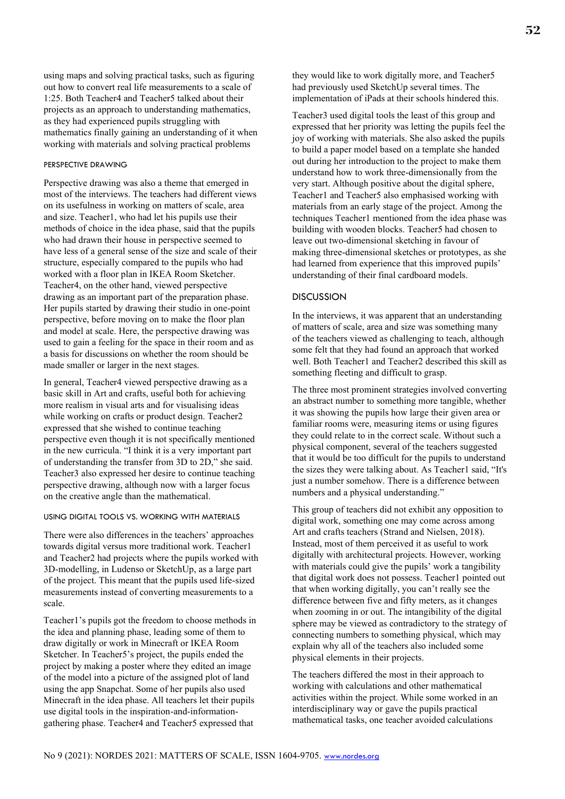using maps and solving practical tasks, such as figuring out how to convert real life measurements to a scale of 1:25. Both Teacher4 and Teacher5 talked about their projects as an approach to understanding mathematics, as they had experienced pupils struggling with mathematics finally gaining an understanding of it when working with materials and solving practical problems

### PERSPECTIVE DRAWING

Perspective drawing was also a theme that emerged in most of the interviews. The teachers had different views on its usefulness in working on matters of scale, area and size. Teacher1, who had let his pupils use their methods of choice in the idea phase, said that the pupils who had drawn their house in perspective seemed to have less of a general sense of the size and scale of their structure, especially compared to the pupils who had worked with a floor plan in IKEA Room Sketcher. Teacher4, on the other hand, viewed perspective drawing as an important part of the preparation phase. Her pupils started by drawing their studio in one-point perspective, before moving on to make the floor plan and model at scale. Here, the perspective drawing was used to gain a feeling for the space in their room and as a basis for discussions on whether the room should be made smaller or larger in the next stages.

In general, Teacher4 viewed perspective drawing as a basic skill in Art and crafts, useful both for achieving more realism in visual arts and for visualising ideas while working on crafts or product design. Teacher2 expressed that she wished to continue teaching perspective even though it is not specifically mentioned in the new curricula. "I think it is a very important part of understanding the transfer from 3D to 2D," she said. Teacher3 also expressed her desire to continue teaching perspective drawing, although now with a larger focus on the creative angle than the mathematical.

## USING DIGITAL TOOLS VS. WORKING WITH MATERIALS

There were also differences in the teachers' approaches towards digital versus more traditional work. Teacher1 and Teacher2 had projects where the pupils worked with 3D-modelling, in Ludenso or SketchUp, as a large part of the project. This meant that the pupils used life-sized measurements instead of converting measurements to a scale.

Teacher1's pupils got the freedom to choose methods in the idea and planning phase, leading some of them to draw digitally or work in Minecraft or IKEA Room Sketcher. In Teacher5's project, the pupils ended the project by making a poster where they edited an image of the model into a picture of the assigned plot of land using the app Snapchat. Some of her pupils also used Minecraft in the idea phase. All teachers let their pupils use digital tools in the inspiration-and-informationgathering phase. Teacher4 and Teacher5 expressed that

they would like to work digitally more, and Teacher5 had previously used SketchUp several times. The implementation of iPads at their schools hindered this.

Teacher3 used digital tools the least of this group and expressed that her priority was letting the pupils feel the joy of working with materials. She also asked the pupils to build a paper model based on a template she handed out during her introduction to the project to make them understand how to work three-dimensionally from the very start. Although positive about the digital sphere, Teacher1 and Teacher5 also emphasised working with materials from an early stage of the project. Among the techniques Teacher1 mentioned from the idea phase was building with wooden blocks. Teacher5 had chosen to leave out two-dimensional sketching in favour of making three-dimensional sketches or prototypes, as she had learned from experience that this improved pupils' understanding of their final cardboard models.

# **DISCUSSION**

In the interviews, it was apparent that an understanding of matters of scale, area and size was something many of the teachers viewed as challenging to teach, although some felt that they had found an approach that worked well. Both Teacher1 and Teacher2 described this skill as something fleeting and difficult to grasp.

The three most prominent strategies involved converting an abstract number to something more tangible, whether it was showing the pupils how large their given area or familiar rooms were, measuring items or using figures they could relate to in the correct scale. Without such a physical component, several of the teachers suggested that it would be too difficult for the pupils to understand the sizes they were talking about. As Teacher1 said, "It's just a number somehow. There is a difference between numbers and a physical understanding."

This group of teachers did not exhibit any opposition to digital work, something one may come across among Art and crafts teachers (Strand and Nielsen, 2018). Instead, most of them perceived it as useful to work digitally with architectural projects. However, working with materials could give the pupils' work a tangibility that digital work does not possess. Teacher1 pointed out that when working digitally, you can't really see the difference between five and fifty meters, as it changes when zooming in or out. The intangibility of the digital sphere may be viewed as contradictory to the strategy of connecting numbers to something physical, which may explain why all of the teachers also included some physical elements in their projects.

The teachers differed the most in their approach to working with calculations and other mathematical activities within the project. While some worked in an interdisciplinary way or gave the pupils practical mathematical tasks, one teacher avoided calculations